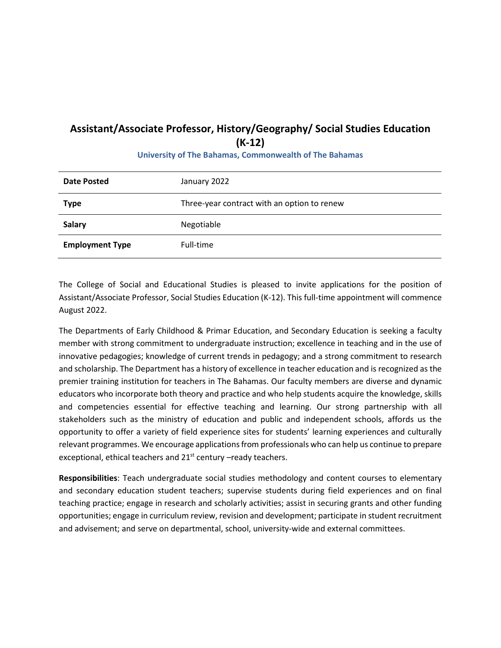## **Assistant/Associate Professor, History/Geography/ Social Studies Education (K-12)**

| <b>Date Posted</b>     | January 2022                                |
|------------------------|---------------------------------------------|
| <b>Type</b>            | Three-year contract with an option to renew |
| <b>Salary</b>          | Negotiable                                  |
| <b>Employment Type</b> | Full-time                                   |

**University of The Bahamas, Commonwealth of The Bahamas**

The College of Social and Educational Studies is pleased to invite applications for the position of Assistant/Associate Professor, Social Studies Education (K-12). This full-time appointment will commence August 2022.

The Departments of Early Childhood & Primar Education, and Secondary Education is seeking a faculty member with strong commitment to undergraduate instruction; excellence in teaching and in the use of innovative pedagogies; knowledge of current trends in pedagogy; and a strong commitment to research and scholarship. The Department has a history of excellence in teacher education and is recognized as the premier training institution for teachers in The Bahamas. Our faculty members are diverse and dynamic educators who incorporate both theory and practice and who help students acquire the knowledge, skills and competencies essential for effective teaching and learning. Our strong partnership with all stakeholders such as the ministry of education and public and independent schools, affords us the opportunity to offer a variety of field experience sites for students' learning experiences and culturally relevant programmes. We encourage applications from professionals who can help us continue to prepare exceptional, ethical teachers and  $21<sup>st</sup>$  century –ready teachers.

**Responsibilities**: Teach undergraduate social studies methodology and content courses to elementary and secondary education student teachers; supervise students during field experiences and on final teaching practice; engage in research and scholarly activities; assist in securing grants and other funding opportunities; engage in curriculum review, revision and development; participate in student recruitment and advisement; and serve on departmental, school, university-wide and external committees.